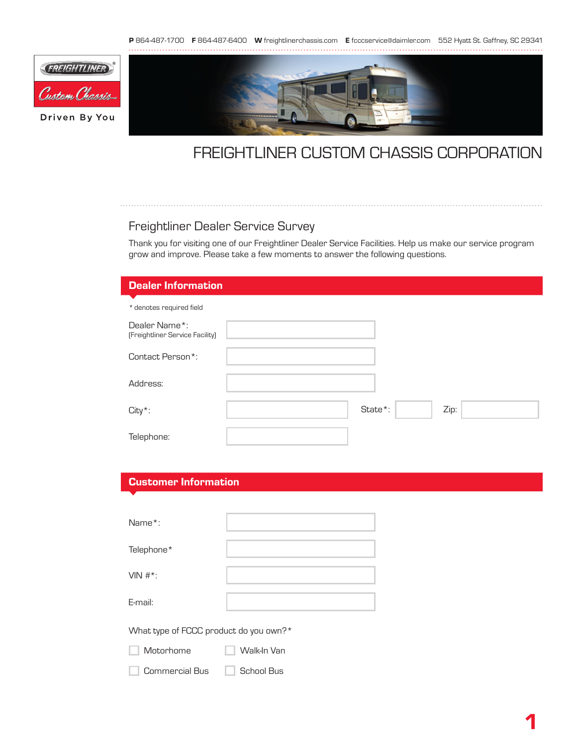P 864-487-1700 F 864-487-6400 W freightlinerchassis.com E fcccservice@daimler.com 552 Hyatt St. Gaffney, SC 29341



## FREIGHTLINER CUSTOM CHASSIS CORPORATION

## Freightliner Dealer Service Survey

Thank you for visiting one of our Freightliner Dealer Service Facilities. Help us make our service program grow and improve. Please take a few moments to answer the following questions.

| <b>Dealer Information</b>                        |         |      |
|--------------------------------------------------|---------|------|
| * denotes required field                         |         |      |
| Dealer Name*:<br>(Freightliner Service Facility) |         |      |
| Contact Person*:                                 |         |      |
| Address:                                         |         |      |
| $City*$ :                                        | State*: | Zip: |
| Telephone:                                       |         |      |

## Customer Information

| Name*:             |  |
|--------------------|--|
| Telephone*         |  |
| VIN $#^*$ :        |  |
| E-mail:            |  |
| $101 - 111 = 1000$ |  |

What type of FCCC product do you own?\*

Motorhome **Walk-In Van** ٦

Commercial Bus **School Bus**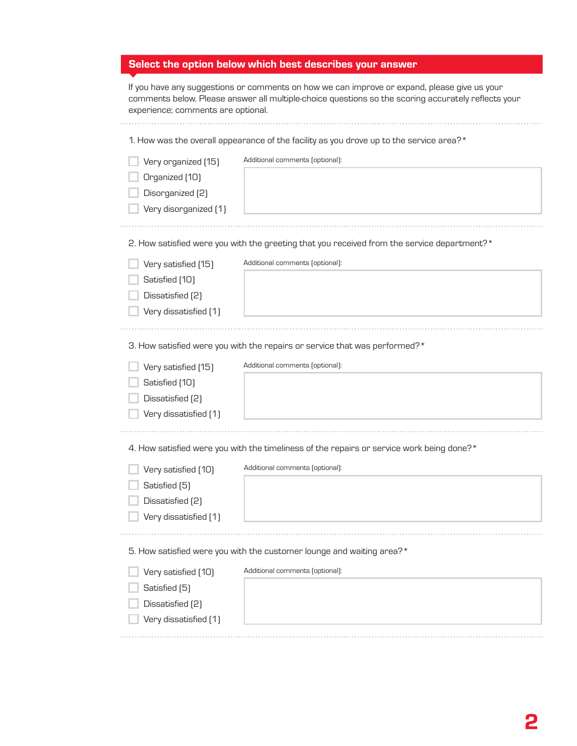| Select the option below which best describes your answer |
|----------------------------------------------------------|
|----------------------------------------------------------|

| If you have any suggestions or comments on how we can improve or expand, please give us your        |
|-----------------------------------------------------------------------------------------------------|
| comments below. Please answer all multiple-choice questions so the scoring accurately reflects your |
| experience; comments are optional.                                                                  |

| 1. How was the overall appearance of the facility as you drove up to the service area?*     |                                                                                           |  |  |  |
|---------------------------------------------------------------------------------------------|-------------------------------------------------------------------------------------------|--|--|--|
| Very organized [15]                                                                         | Additional comments (optional):                                                           |  |  |  |
| Organized [10]                                                                              |                                                                                           |  |  |  |
| Disorganized (2)                                                                            |                                                                                           |  |  |  |
| Very disorganized [1]                                                                       |                                                                                           |  |  |  |
|                                                                                             |                                                                                           |  |  |  |
| 2. How satisfied were you with the greeting that you received from the service department?* |                                                                                           |  |  |  |
| Very satisfied [15]                                                                         | Additional comments (optional):                                                           |  |  |  |
| Satisfied [10]                                                                              |                                                                                           |  |  |  |
| Dissatisfied [2]                                                                            |                                                                                           |  |  |  |
| Very dissatisfied [1]                                                                       |                                                                                           |  |  |  |
|                                                                                             |                                                                                           |  |  |  |
| 3. How satisfied were you with the repairs or service that was performed?*                  |                                                                                           |  |  |  |
| Very satisfied [15]                                                                         | Additional comments (optional):                                                           |  |  |  |
| Satisfied [10]                                                                              |                                                                                           |  |  |  |
| Dissatisfied (2)                                                                            |                                                                                           |  |  |  |
| Very dissatisfied [1]                                                                       |                                                                                           |  |  |  |
|                                                                                             |                                                                                           |  |  |  |
|                                                                                             | 4. How satisfied were you with the timeliness of the repairs or service work being done?* |  |  |  |
| Very satisfied [10]                                                                         | Additional comments (optional):                                                           |  |  |  |
| Satisfied [5]                                                                               |                                                                                           |  |  |  |
| Dissatisfied (2)                                                                            |                                                                                           |  |  |  |
| Very dissatisfied [1]                                                                       |                                                                                           |  |  |  |
|                                                                                             |                                                                                           |  |  |  |
| 5. How satisfied were you with the customer lounge and waiting area?*                       |                                                                                           |  |  |  |
| Very satisfied [10]                                                                         | Additional comments (optional):                                                           |  |  |  |
| Satisfied [5]                                                                               |                                                                                           |  |  |  |
| Dissatisfied (2)                                                                            |                                                                                           |  |  |  |
| Very dissatisfied [1]                                                                       |                                                                                           |  |  |  |
|                                                                                             |                                                                                           |  |  |  |